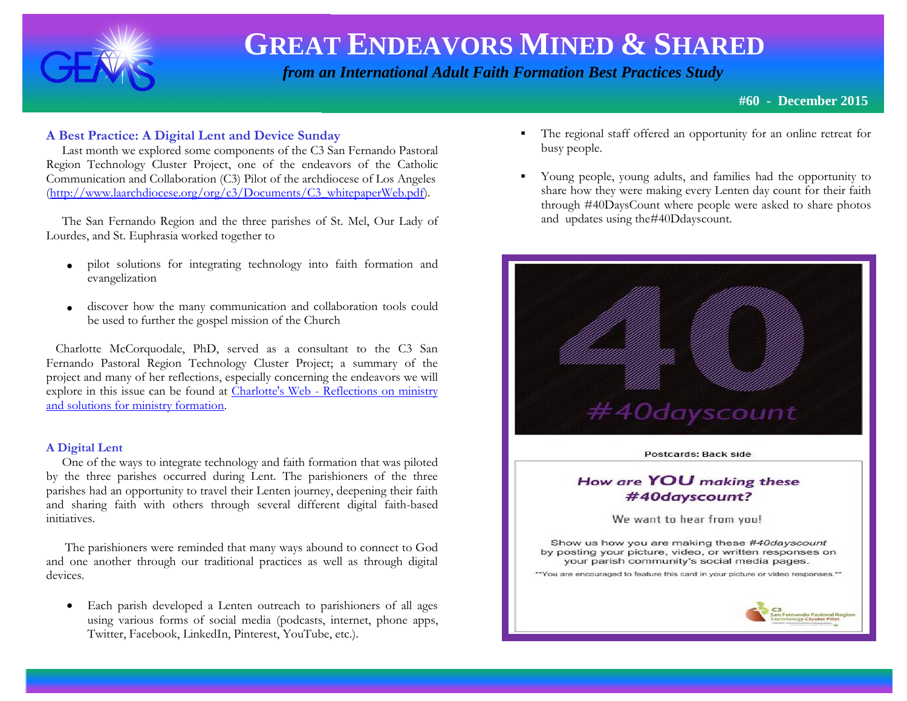

 *from an International Adult Faith Formation Best Practices Study*

**#60 - December 2015**

### **A Best Practice: A Digital Lent and Device Sunday**

 Last month we explored some components of the C3 San Fernando Pastoral Region Technology Cluster Project, one of the endeavors of the Catholic Communication and Collaboration (C3) Pilot of the archdiocese of Los Angeles [\(http://www.laarchdiocese.org/org/c3/Documents/C3\\_whitepaperWeb.pdf\)](http://www.laarchdiocese.org/org/c3/Documents/C3_whitepaperWeb.pdf).

 The San Fernando Region and the three parishes of St. Mel, Our Lady of Lourdes, and St. Euphrasia worked together to

- pilot solutions for integrating technology into faith formation and evangelization
- discover how the many communication and collaboration tools could be used to further the gospel mission of the Church

 Charlotte McCorquodale, PhD, served as a consultant to the C3 San Fernando Pastoral Region Technology Cluster Project; a summary of the project and many of her reflections, especially concerning the endeavors we will explore in this issue can be found at Charlotte's Web - [Reflections on ministry](http://www.ministrytrainingsource.org/blog/)  [and solutions for ministry formation.](http://www.ministrytrainingsource.org/blog/)

#### **A Digital Lent**

 One of the ways to integrate technology and faith formation that was piloted by the three parishes occurred during Lent. The parishioners of the three parishes had an opportunity to travel their Lenten journey, deepening their faith and sharing faith with others through several different digital faith-based initiatives.

 The parishioners were reminded that many ways abound to connect to God and one another through our traditional practices as well as through digital devices.

• Each parish developed a Lenten outreach to parishioners of all ages using various forms of social media (podcasts, internet, phone apps, Twitter, Facebook, LinkedIn, Pinterest, YouTube, etc.).

- The regional staff offered an opportunity for an online retreat for busy people.
- Young people, young adults, and families had the opportunity to share how they were making every Lenten day count for their faith through #40DaysCount where people were asked to share photos and updates using the#40Ddayscount.

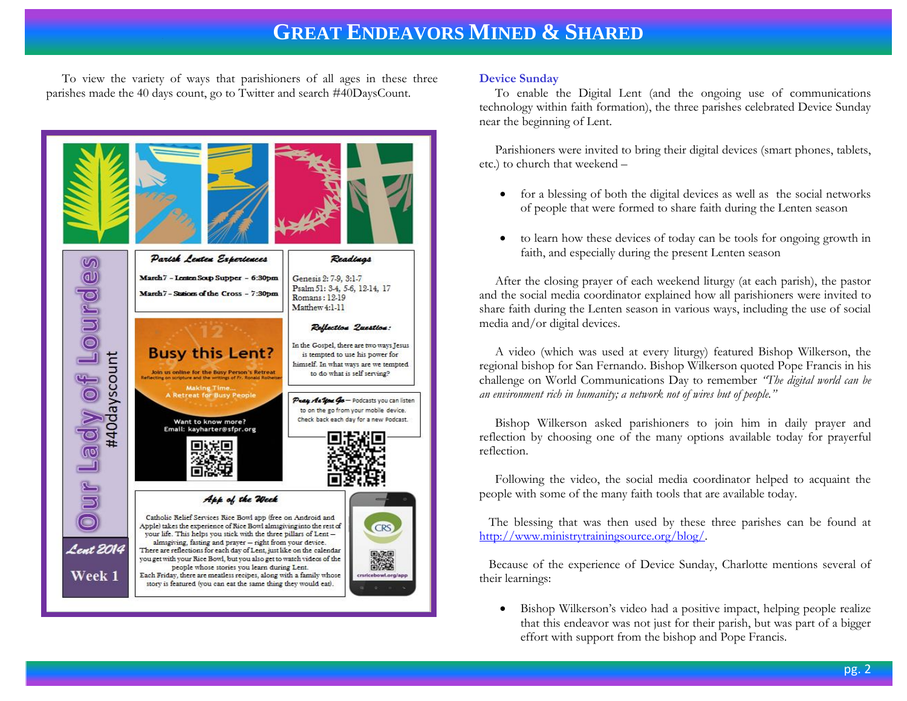To view the variety of ways that parishioners of all ages in these three parishes made the 40 days count, go to Twitter and search #40DaysCount.



#### **Device Sunday**

 To enable the Digital Lent (and the ongoing use of communications technology within faith formation), the three parishes celebrated Device Sunday near the beginning of Lent.

 Parishioners were invited to bring their digital devices (smart phones, tablets, etc.) to church that weekend –

- for a blessing of both the digital devices as well as the social networks of people that were formed to share faith during the Lenten season
- to learn how these devices of today can be tools for ongoing growth in faith, and especially during the present Lenten season

 After the closing prayer of each weekend liturgy (at each parish), the pastor and the social media coordinator explained how all parishioners were invited to share faith during the Lenten season in various ways, including the use of social media and/or digital devices.

 A video (which was used at every liturgy) featured Bishop Wilkerson, the regional bishop for San Fernando. Bishop Wilkerson quoted Pope Francis in his challenge on World Communications Day to remember *"The digital world can be an environment rich in humanity; a network not of wires but of people."*

 Bishop Wilkerson asked parishioners to join him in daily prayer and reflection by choosing one of the many options available today for prayerful reflection.

 Following the video, the social media coordinator helped to acquaint the people with some of the many faith tools that are available today.

 The blessing that was then used by these three parishes can be found at [http://www.ministrytrainingsource.org/blog/.](http://www.ministrytrainingsource.org/blog/)

 Because of the experience of Device Sunday, Charlotte mentions several of their learnings:

 Bishop Wilkerson's video had a positive impact, helping people realize that this endeavor was not just for their parish, but was part of a bigger effort with support from the bishop and Pope Francis.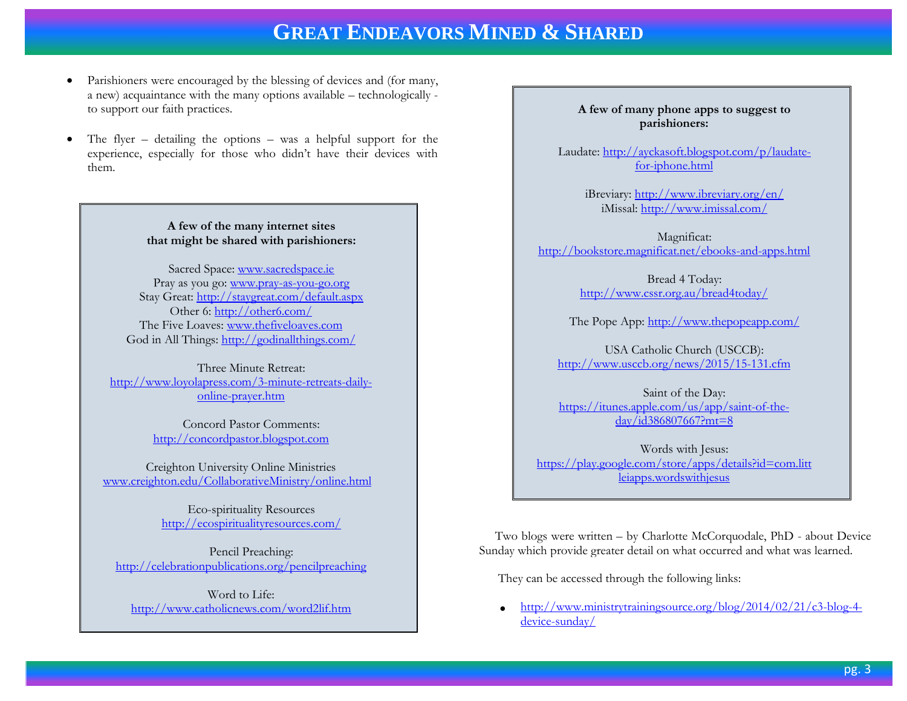- Parishioners were encouraged by the blessing of devices and (for many, a new) acquaintance with the many options available – technologically to support our faith practices.
- The flyer detailing the options was a helpful support for the experience, especially for those who didn't have their devices with them.

#### **A few of the many internet sites that might be shared with parishioners:**

Sacred Space: [www.sacredspace.ie](http://www.sacredspace.ie/) Pray as you go: [www.pray-as-you-go.org](http://www.pray-as-you-go.org/) Stay Great:<http://staygreat.com/default.aspx> Other 6:<http://other6.com/> The Five Loaves: [www.thefiveloaves.com](http://www.thefiveloaves.com/) God in All Things:<http://godinallthings.com/>

Three Minute Retreat: [http://www.loyolapress.com/3-minute-retreats-daily](http://www.loyolapress.com/3-minute-retreats-daily-online-prayer.htm)[online-prayer.htm](http://www.loyolapress.com/3-minute-retreats-daily-online-prayer.htm)

> Concord Pastor Comments: [http://concordpastor.blogspot.com](http://concordpastor.blogspot.com/)

Creighton University Online Ministries [www.creighton.edu/CollaborativeMinistry/online.html](http://www.creighton.edu/CollaborativeMinistry/online.html)

> Eco-spirituality Resources <http://ecospiritualityresources.com/>

Pencil Preaching: <http://celebrationpublications.org/pencilpreaching>

Word to Life: <http://www.catholicnews.com/word2lif.htm>

#### **A few of many phone apps to suggest to parishioners:**

Laudate: [http://ayckasoft.blogspot.com/p/laudate](http://ayckasoft.blogspot.com/p/laudate-for-iphone.html)[for-iphone.html](http://ayckasoft.blogspot.com/p/laudate-for-iphone.html)

> iBreviary:<http://www.ibreviary.org/en/> iMissal:<http://www.imissal.com/>

Magnificat: <http://bookstore.magnificat.net/ebooks-and-apps.html>

> Bread 4 Today: <http://www.cssr.org.au/bread4today/>

The Pope App:<http://www.thepopeapp.com/>

USA Catholic Church (USCCB): <http://www.usccb.org/news/2015/15-131.cfm>

Saint of the Day: [https://itunes.apple.com/us/app/saint-of-the](https://itunes.apple.com/us/app/saint-of-the-day/id386807667?mt=8)[day/id386807667?mt=8](https://itunes.apple.com/us/app/saint-of-the-day/id386807667?mt=8)

Words with Jesus: [https://play.google.com/store/apps/details?id=com.litt](https://play.google.com/store/apps/details?id=com.littleiapps.wordswithjesus) [leiapps.wordswithjesus](https://play.google.com/store/apps/details?id=com.littleiapps.wordswithjesus)

 Two blogs were written – by Charlotte McCorquodale, PhD - about Device Sunday which provide greater detail on what occurred and what was learned.

They can be accessed through the following links:

 [http://www.ministrytrainingsource.org/blog/2014/02/21/c3-blog-4](http://www.ministrytrainingsource.org/blog/2014/02/21/c3-blog-4-device-sunday/) [device-sunday/](http://www.ministrytrainingsource.org/blog/2014/02/21/c3-blog-4-device-sunday/)